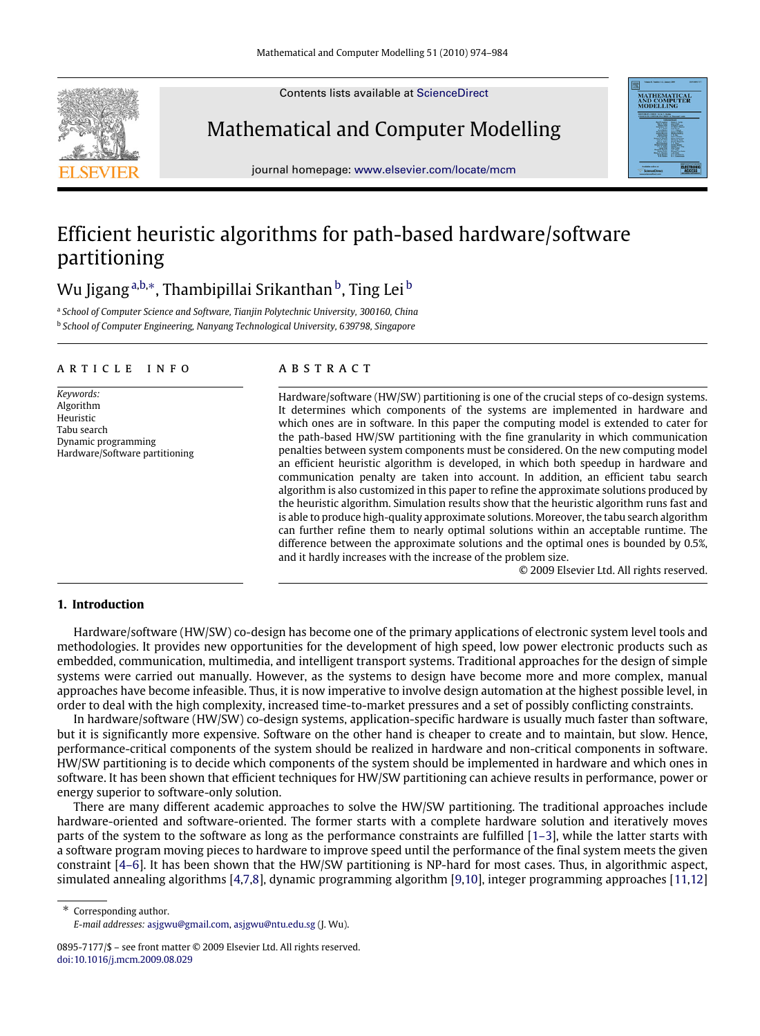Contents lists available at [ScienceDirect](http://www.elsevier.com/locate/mcm)

## Mathematical and Computer Modelling

journal homepage: [www.elsevier.com/locate/mcm](http://www.elsevier.com/locate/mcm)

## Efficient heuristic algorithms for path-based hardware/software partitioning

Wu Jig[a](#page-0-0)ng <sup>a[,b,](#page-0-1)</sup>\*, Tham[b](#page-0-1)ipillai Srikanthan <sup>b</sup>, Ting Lei <sup>b</sup>

<span id="page-0-1"></span><span id="page-0-0"></span>a *School of Computer Science and Software, Tianjin Polytechnic University, 300160, China* b *School of Computer Engineering, Nanyang Technological University, 639798, Singapore*

#### a r t i c l e i n f o

*Keywords:* Algorithm Heuristic Tabu search Dynamic programming Hardware/Software partitioning

### a b s t r a c t

Hardware/software (HW/SW) partitioning is one of the crucial steps of co-design systems. It determines which components of the systems are implemented in hardware and which ones are in software. In this paper the computing model is extended to cater for the path-based HW/SW partitioning with the fine granularity in which communication penalties between system components must be considered. On the new computing model an efficient heuristic algorithm is developed, in which both speedup in hardware and communication penalty are taken into account. In addition, an efficient tabu search algorithm is also customized in this paper to refine the approximate solutions produced by the heuristic algorithm. Simulation results show that the heuristic algorithm runs fast and is able to produce high-quality approximate solutions. Moreover, the tabu search algorithm can further refine them to nearly optimal solutions within an acceptable runtime. The difference between the approximate solutions and the optimal ones is bounded by 0.5%, and it hardly increases with the increase of the problem size.

© 2009 Elsevier Ltd. All rights reserved.

### **1. Introduction**

Hardware/software (HW/SW) co-design has become one of the primary applications of electronic system level tools and methodologies. It provides new opportunities for the development of high speed, low power electronic products such as embedded, communication, multimedia, and intelligent transport systems. Traditional approaches for the design of simple systems were carried out manually. However, as the systems to design have become more and more complex, manual approaches have become infeasible. Thus, it is now imperative to involve design automation at the highest possible level, in order to deal with the high complexity, increased time-to-market pressures and a set of possibly conflicting constraints.

In hardware/software (HW/SW) co-design systems, application-specific hardware is usually much faster than software, but it is significantly more expensive. Software on the other hand is cheaper to create and to maintain, but slow. Hence, performance-critical components of the system should be realized in hardware and non-critical components in software. HW/SW partitioning is to decide which components of the system should be implemented in hardware and which ones in software. It has been shown that efficient techniques for HW/SW partitioning can achieve results in performance, power or energy superior to software-only solution.

There are many different academic approaches to solve the HW/SW partitioning. The traditional approaches include hardware-oriented and software-oriented. The former starts with a complete hardware solution and iteratively moves parts of the system to the software as long as the performance constraints are fulfilled [\[1–3\]](#page--1-0), while the latter starts with a software program moving pieces to hardware to improve speed until the performance of the final system meets the given constraint [\[4–6\]](#page--1-1). It has been shown that the HW/SW partitioning is NP-hard for most cases. Thus, in algorithmic aspect, simulated annealing algorithms [\[4](#page--1-1)[,7](#page--1-2)[,8\]](#page--1-3), dynamic programming algorithm [\[9,](#page--1-4)[10\]](#page--1-5), integer programming approaches [\[11,](#page--1-6)[12\]](#page--1-7)

<span id="page-0-2"></span>Corresponding author. *E-mail addresses:* [asjgwu@gmail.com,](mailto:asjgwu@gmail.com) [asjgwu@ntu.edu.sg](mailto:asjgwu@ntu.edu.sg) (J. Wu).





<sup>0895-7177/\$ –</sup> see front matter © 2009 Elsevier Ltd. All rights reserved. [doi:10.1016/j.mcm.2009.08.029](http://dx.doi.org/10.1016/j.mcm.2009.08.029)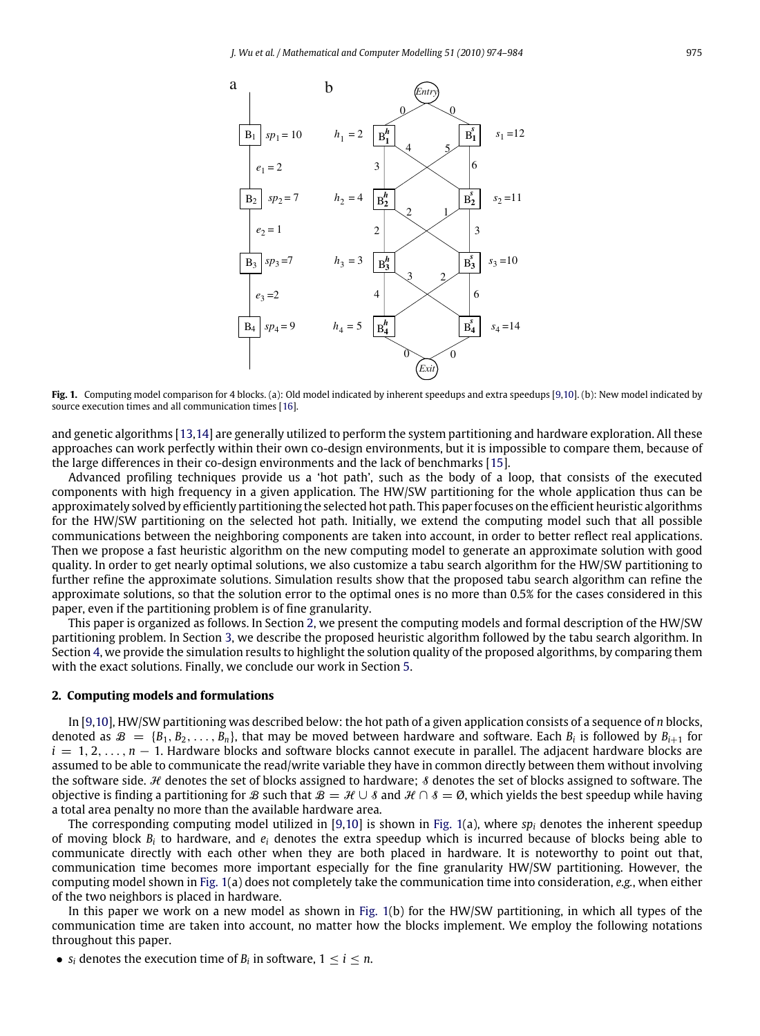<span id="page-1-1"></span>

**Fig. 1.** Computing model comparison for 4 blocks. (a): Old model indicated by inherent speedups and extra speedups [\[9,](#page--1-4)[10\]](#page--1-5). (b): New model indicated by source execution times and all communication times [\[16\]](#page--1-8).

and genetic algorithms [\[13](#page--1-9)[,14\]](#page--1-10) are generally utilized to perform the system partitioning and hardware exploration. All these approaches can work perfectly within their own co-design environments, but it is impossible to compare them, because of the large differences in their co-design environments and the lack of benchmarks [\[15\]](#page--1-11).

Advanced profiling techniques provide us a 'hot path', such as the body of a loop, that consists of the executed components with high frequency in a given application. The HW/SW partitioning for the whole application thus can be approximately solved by efficiently partitioning the selected hot path. This paper focuses on the efficient heuristic algorithms for the HW/SW partitioning on the selected hot path. Initially, we extend the computing model such that all possible communications between the neighboring components are taken into account, in order to better reflect real applications. Then we propose a fast heuristic algorithm on the new computing model to generate an approximate solution with good quality. In order to get nearly optimal solutions, we also customize a tabu search algorithm for the HW/SW partitioning to further refine the approximate solutions. Simulation results show that the proposed tabu search algorithm can refine the approximate solutions, so that the solution error to the optimal ones is no more than 0.5% for the cases considered in this paper, even if the partitioning problem is of fine granularity.

This paper is organized as follows. In Section [2,](#page-1-0) we present the computing models and formal description of the HW/SW partitioning problem. In Section [3,](#page--1-12) we describe the proposed heuristic algorithm followed by the tabu search algorithm. In Section [4,](#page--1-13) we provide the simulation results to highlight the solution quality of the proposed algorithms, by comparing them with the exact solutions. Finally, we conclude our work in Section [5.](#page--1-14)

#### <span id="page-1-0"></span>**2. Computing models and formulations**

In [\[9](#page--1-4)[,10\]](#page--1-5), HW/SW partitioning was described below: the hot path of a given application consists of a sequence of *n* blocks, denoted as  $\mathcal{B} = \{B_1, B_2, \ldots, B_n\}$ , that may be moved between hardware and software. Each  $B_i$  is followed by  $B_{i+1}$  for *i* = 1, 2, . . . , *n* − 1. Hardware blocks and software blocks cannot execute in parallel. The adjacent hardware blocks are assumed to be able to communicate the read/write variable they have in common directly between them without involving the software side.  $H$  denotes the set of blocks assigned to hardware;  $\delta$  denotes the set of blocks assigned to software. The objective is finding a partitioning for B such that  $B = H \cup S$  and  $H \cap S = \emptyset$ , which yields the best speedup while having a total area penalty no more than the available hardware area.

The corresponding computing model utilized in [\[9](#page--1-4)[,10\]](#page--1-5) is shown in [Fig. 1\(](#page-1-1)a), where *sp<sup>i</sup>* denotes the inherent speedup of moving block  $B_i$  to hardware, and  $e_i$  denotes the extra speedup which is incurred because of blocks being able to communicate directly with each other when they are both placed in hardware. It is noteworthy to point out that, communication time becomes more important especially for the fine granularity HW/SW partitioning. However, the computing model shown in [Fig. 1\(](#page-1-1)a) does not completely take the communication time into consideration, *e.g.*, when either of the two neighbors is placed in hardware.

In this paper we work on a new model as shown in [Fig. 1\(](#page-1-1)b) for the HW/SW partitioning, in which all types of the communication time are taken into account, no matter how the blocks implement. We employ the following notations throughout this paper.

•  $s_i$  denotes the execution time of  $B_i$  in software,  $1 \le i \le n$ .